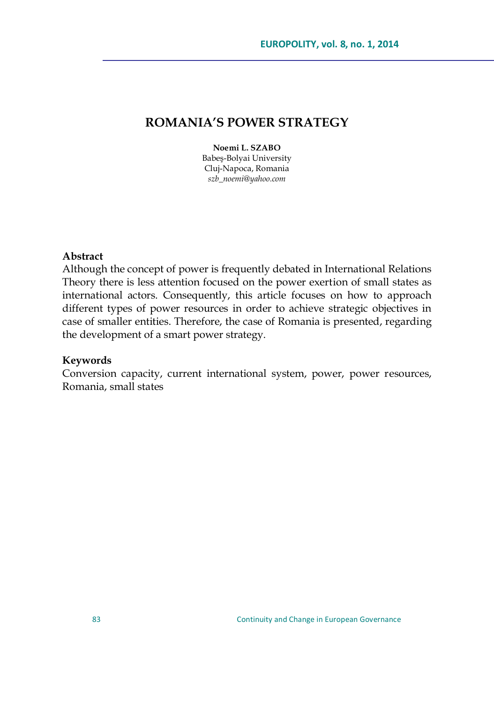# **ROMANIA'S POWER STRATEGY**

#### **Noemi L. SZABO**

Babeş-Bolyai University Cluj-Napoca, Romania *szb\_noemi@yahoo.com*

#### **Abstract**

Although the concept of power is frequently debated in International Relations Theory there is less attention focused on the power exertion of small states as international actors. Consequently, this article focuses on how to approach different types of power resources in order to achieve strategic objectives in case of smaller entities. Therefore, the case of Romania is presented, regarding the development of a smart power strategy.

#### **Keywords**

Conversion capacity, current international system, power, power resources, Romania, small states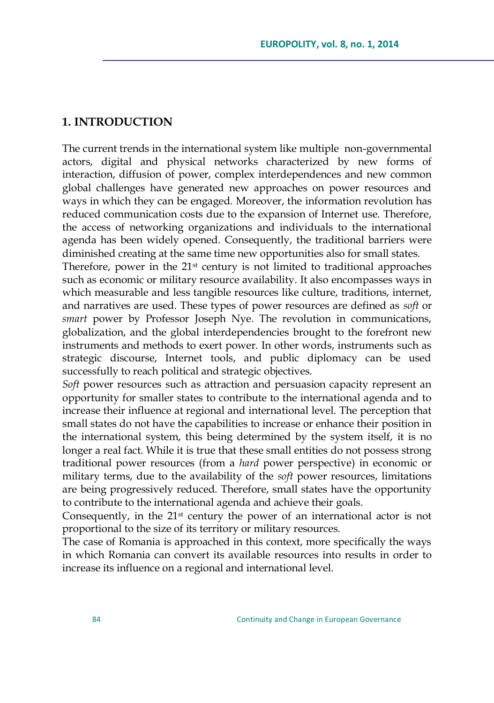## **1. INTRODUCTION**

The current trends in the international system like multiple non-governmental actors, digital and physical networks characterized by new forms of interaction, diffusion of power, complex interdependences and new common global challenges have generated new approaches on power resources and ways in which they can be engaged. Moreover, the information revolution has reduced communication costs due to the expansion of Internet use. Therefore, the access of networking organizations and individuals to the international agenda has been widely opened. Consequently, the traditional barriers were diminished creating at the same time new opportunities also for small states.

Therefore, power in the  $21<sup>st</sup>$  century is not limited to traditional approaches such as economic or military resource availability. It also encompasses ways in which measurable and less tangible resources like culture, traditions, internet, and narratives are used. These types of power resources are defined as *soft* or *smart* power by Professor Joseph Nye. The revolution in communications, globalization, and the global interdependencies brought to the forefront new instruments and methods to exert power. In other words, instruments such as strategic discourse, Internet tools, and public diplomacy can be used successfully to reach political and strategic objectives.

*Soft* power resources such as attraction and persuasion capacity represent an opportunity for smaller states to contribute to the international agenda and to increase their influence at regional and international level. The perception that small states do not have the capabilities to increase or enhance their position in the international system, this being determined by the system itself, it is no longer a real fact. While it is true that these small entities do not possess strong traditional power resources (from a *hard* power perspective) in economic or military terms, due to the availability of the *soft* power resources, limitations are being progressively reduced. Therefore, small states have the opportunity to contribute to the international agenda and achieve their goals.

Consequently, in the  $21<sup>st</sup>$  century the power of an international actor is not proportional to the size of its territory or military resources.

The case of Romania is approached in this context, more specifically the ways in which Romania can convert its available resources into results in order to increase its influence on a regional and international level.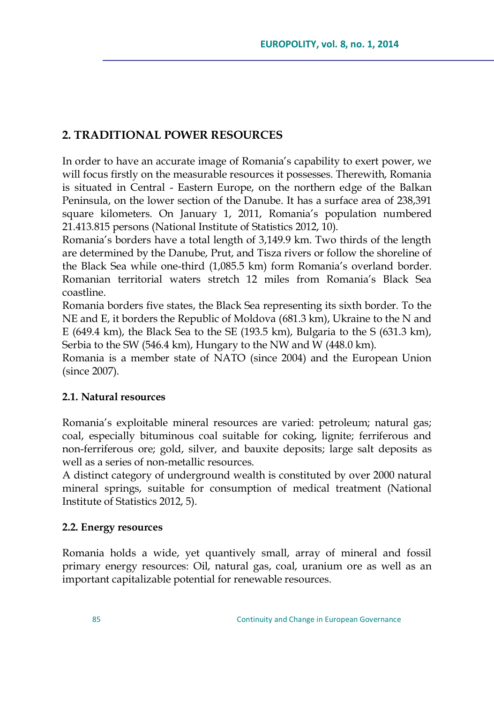# **2. TRADITIONAL POWER RESOURCES**

In order to have an accurate image of Romania"s capability to exert power, we will focus firstly on the measurable resources it possesses. Therewith, Romania is situated in Central - Eastern Europe, on the northern edge of the Balkan Peninsula, on the lower section of the Danube. It has a surface area of 238,391 square kilometers. On January 1, 2011, Romania's population numbered 21.413.815 persons (National Institute of Statistics 2012, 10).

Romania"s borders have a total length of 3,149.9 km. Two thirds of the length are determined by the Danube, Prut, and Tisza rivers or follow the shoreline of the Black Sea while one-third (1,085.5 km) form Romania's overland border. Romanian territorial waters stretch 12 miles from Romania"s Black Sea coastline.

Romania borders five states, the Black Sea representing its sixth border. To the NE and E, it borders the Republic of Moldova (681.3 km), Ukraine to the N and E (649.4 km), the Black Sea to the SE (193.5 km), Bulgaria to the S (631.3 km), Serbia to the SW (546.4 km), Hungary to the NW and W (448.0 km).

Romania is a member state of NATO (since 2004) and the European Union (since 2007).

## **2.1. Natural resources**

Romania"s exploitable mineral resources are varied: petroleum; natural gas; coal, especially bituminous coal suitable for coking, lignite; ferriferous and non-ferriferous ore; gold, silver, and bauxite deposits; large salt deposits as well as a series of non-metallic resources.

A distinct category of underground wealth is constituted by over 2000 natural mineral springs, suitable for consumption of medical treatment (National Institute of Statistics 2012, 5).

## **2.2. Energy resources**

Romania holds a wide, yet quantively small, array of mineral and fossil primary energy resources: Oil, natural gas, coal, uranium ore as well as an important capitalizable potential for renewable resources.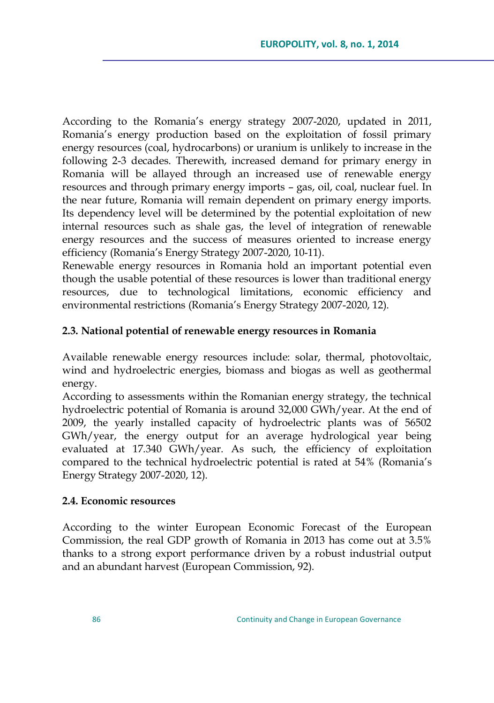According to the Romania"s energy strategy 2007-2020, updated in 2011, Romania"s energy production based on the exploitation of fossil primary energy resources (coal, hydrocarbons) or uranium is unlikely to increase in the following 2-3 decades. Therewith, increased demand for primary energy in Romania will be allayed through an increased use of renewable energy resources and through primary energy imports – gas, oil, coal, nuclear fuel. In the near future, Romania will remain dependent on primary energy imports. Its dependency level will be determined by the potential exploitation of new internal resources such as shale gas, the level of integration of renewable energy resources and the success of measures oriented to increase energy efficiency (Romania's Energy Strategy 2007-2020, 10-11).

Renewable energy resources in Romania hold an important potential even though the usable potential of these resources is lower than traditional energy resources, due to technological limitations, economic efficiency and environmental restrictions (Romania's Energy Strategy 2007-2020, 12).

### **2.3. National potential of renewable energy resources in Romania**

Available renewable energy resources include: solar, thermal, photovoltaic, wind and hydroelectric energies, biomass and biogas as well as geothermal energy.

According to assessments within the Romanian energy strategy, the technical hydroelectric potential of Romania is around 32,000 GWh/year. At the end of 2009, the yearly installed capacity of hydroelectric plants was of 56502 GWh/year, the energy output for an average hydrological year being evaluated at 17.340 GWh/year. As such, the efficiency of exploitation compared to the technical hydroelectric potential is rated at 54% (Romania"s Energy Strategy 2007-2020, 12).

### **2.4. Economic resources**

According to the winter European Economic Forecast of the European Commission, the real GDP growth of Romania in 2013 has come out at 3.5% thanks to a strong export performance driven by a robust industrial output and an abundant harvest (European Commission, 92).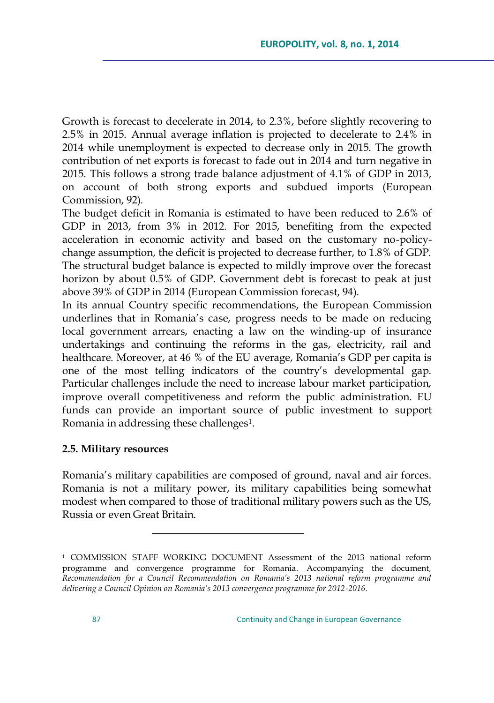Growth is forecast to decelerate in 2014, to 2.3%, before slightly recovering to 2.5% in 2015. Annual average inflation is projected to decelerate to 2.4% in 2014 while unemployment is expected to decrease only in 2015. The growth contribution of net exports is forecast to fade out in 2014 and turn negative in 2015. This follows a strong trade balance adjustment of 4.1% of GDP in 2013, on account of both strong exports and subdued imports (European Commission, 92).

The budget deficit in Romania is estimated to have been reduced to 2.6% of GDP in 2013, from 3% in 2012. For 2015, benefiting from the expected acceleration in economic activity and based on the customary no-policychange assumption, the deficit is projected to decrease further, to 1.8% of GDP. The structural budget balance is expected to mildly improve over the forecast horizon by about 0.5% of GDP. Government debt is forecast to peak at just above 39% of GDP in 2014 (European Commission forecast, 94).

In its annual Country specific recommendations, the European Commission underlines that in Romania's case, progress needs to be made on reducing local government arrears, enacting a law on the winding-up of insurance undertakings and continuing the reforms in the gas, electricity, rail and healthcare. Moreover, at 46 % of the EU average, Romania's GDP per capita is one of the most telling indicators of the country's developmental gap. Particular challenges include the need to increase labour market participation, improve overall competitiveness and reform the public administration. EU funds can provide an important source of public investment to support Romania in addressing these challenges<sup>1</sup>.

### **2.5. Military resources**

 $\overline{a}$ 

Romania"s military capabilities are composed of ground, naval and air forces. Romania is not a military power, its military capabilities being somewhat modest when compared to those of traditional military powers such as the US, Russia or even Great Britain.

<sup>1</sup> COMMISSION STAFF WORKING DOCUMENT Assessment of the 2013 national reform programme and convergence programme for Romania. Accompanying the document*, Recommendation for a Council Recommendation on Romania's 2013 national reform programme and delivering a Council Opinion on Romania's 2013 convergence programme for 2012-2016.*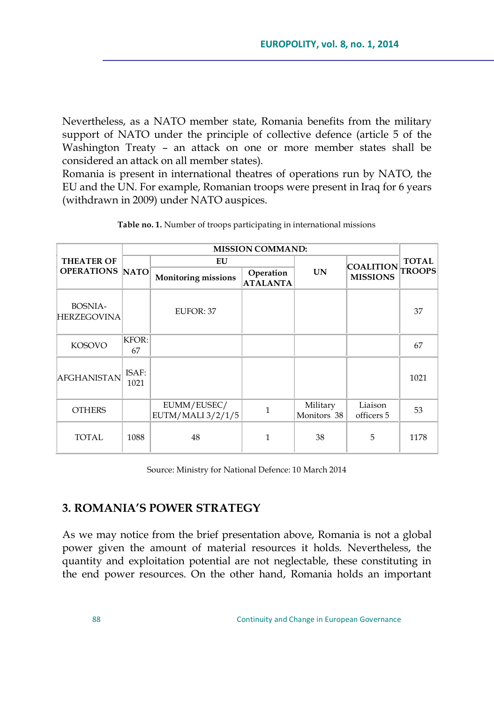Nevertheless, as a NATO member state, Romania benefits from the military support of NATO under the principle of collective defence (article 5 of the Washington Treaty – an attack on one or more member states shall be considered an attack on all member states).

Romania is present in international theatres of operations run by NATO, the EU and the UN. For example, Romanian troops were present in Iraq for 6 years (withdrawn in 2009) under NATO auspices.

| <b>THEATER OF</b><br><b>OPERATIONS NATO</b> | <b>MISSION COMMAND:</b> |                                  |                              |                         |                                     |              |
|---------------------------------------------|-------------------------|----------------------------------|------------------------------|-------------------------|-------------------------------------|--------------|
|                                             |                         | EU                               |                              |                         |                                     | <b>TOTAL</b> |
|                                             |                         | <b>Monitoring missions</b>       | Operation<br><b>ATALANTA</b> | <b>UN</b>               | COALITION TROOPS<br><b>MISSIONS</b> |              |
| <b>BOSNIA-</b><br><b>HERZEGOVINA</b>        |                         | EUFOR: 37                        |                              |                         |                                     | 37           |
| <b>KOSOVO</b>                               | KFOR:<br>67             |                                  |                              |                         |                                     | 67           |
| <b>AFGHANISTAN</b>                          | ISAF:<br>1021           |                                  |                              |                         |                                     | 1021         |
| <b>OTHERS</b>                               |                         | EUMM/EUSEC/<br>EUTM/MALI 3/2/1/5 | $\mathbf{1}$                 | Military<br>Monitors 38 | Liaison<br>officers 5               | 53           |
| TOTAL                                       | 1088                    | 48                               | 1                            | 38                      | 5                                   | 1178         |

**Table no. 1.** Number of troops participating in international missions

Source: Ministry for National Defence: 10 March 2014

# **3. ROMANIA'S POWER STRATEGY**

As we may notice from the brief presentation above, Romania is not a global power given the amount of material resources it holds. Nevertheless, the quantity and exploitation potential are not neglectable, these constituting in the end power resources. On the other hand, Romania holds an important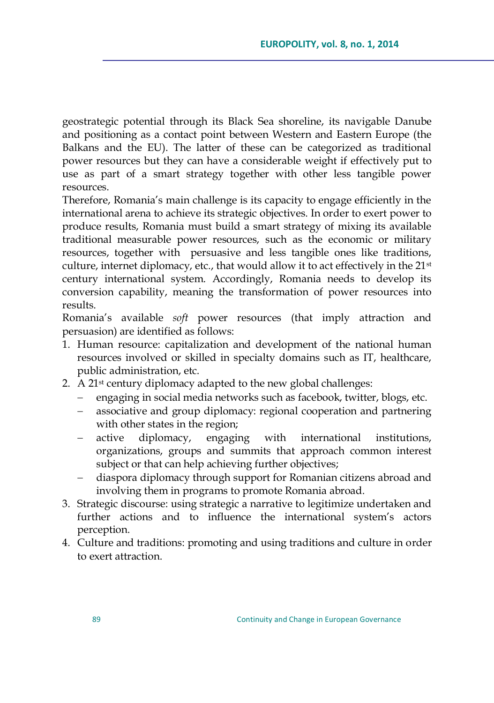geostrategic potential through its Black Sea shoreline, its navigable Danube and positioning as a contact point between Western and Eastern Europe (the Balkans and the EU). The latter of these can be categorized as traditional power resources but they can have a considerable weight if effectively put to use as part of a smart strategy together with other less tangible power resources.

Therefore, Romania"s main challenge is its capacity to engage efficiently in the international arena to achieve its strategic objectives. In order to exert power to produce results, Romania must build a smart strategy of mixing its available traditional measurable power resources, such as the economic or military resources, together with persuasive and less tangible ones like traditions, culture, internet diplomacy, etc., that would allow it to act effectively in the 21st century international system. Accordingly, Romania needs to develop its conversion capability, meaning the transformation of power resources into results.

Romania"s available *soft* power resources (that imply attraction and persuasion) are identified as follows:

- 1. Human resource: capitalization and development of the national human resources involved or skilled in specialty domains such as IT, healthcare, public administration, etc.
- 2. A 21<sup>st</sup> century diplomacy adapted to the new global challenges:
	- engaging in social media networks such as facebook, twitter, blogs, etc.
	- associative and group diplomacy: regional cooperation and partnering with other states in the region;
	- active diplomacy, engaging with international institutions, organizations, groups and summits that approach common interest subject or that can help achieving further objectives;
	- diaspora diplomacy through support for Romanian citizens abroad and involving them in programs to promote Romania abroad.
- 3. Strategic discourse: using strategic a narrative to legitimize undertaken and further actions and to influence the international system's actors perception.
- 4. Culture and traditions: promoting and using traditions and culture in order to exert attraction.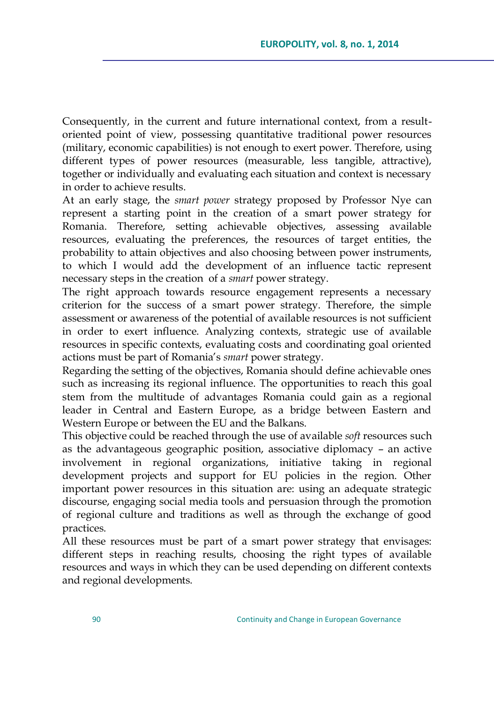Consequently, in the current and future international context, from a resultoriented point of view, possessing quantitative traditional power resources (military, economic capabilities) is not enough to exert power. Therefore, using different types of power resources (measurable, less tangible, attractive), together or individually and evaluating each situation and context is necessary in order to achieve results.

At an early stage, the *smart power* strategy proposed by Professor Nye can represent a starting point in the creation of a smart power strategy for Romania. Therefore, setting achievable objectives, assessing available resources, evaluating the preferences, the resources of target entities, the probability to attain objectives and also choosing between power instruments, to which I would add the development of an influence tactic represent necessary steps in the creation of a *smart* power strategy.

The right approach towards resource engagement represents a necessary criterion for the success of a smart power strategy. Therefore, the simple assessment or awareness of the potential of available resources is not sufficient in order to exert influence. Analyzing contexts, strategic use of available resources in specific contexts, evaluating costs and coordinating goal oriented actions must be part of Romania"s *smart* power strategy.

Regarding the setting of the objectives, Romania should define achievable ones such as increasing its regional influence. The opportunities to reach this goal stem from the multitude of advantages Romania could gain as a regional leader in Central and Eastern Europe, as a bridge between Eastern and Western Europe or between the EU and the Balkans.

This objective could be reached through the use of available *soft* resources such as the advantageous geographic position, associative diplomacy – an active involvement in regional organizations, initiative taking in regional development projects and support for EU policies in the region. Other important power resources in this situation are: using an adequate strategic discourse, engaging social media tools and persuasion through the promotion of regional culture and traditions as well as through the exchange of good practices.

All these resources must be part of a smart power strategy that envisages: different steps in reaching results, choosing the right types of available resources and ways in which they can be used depending on different contexts and regional developments.